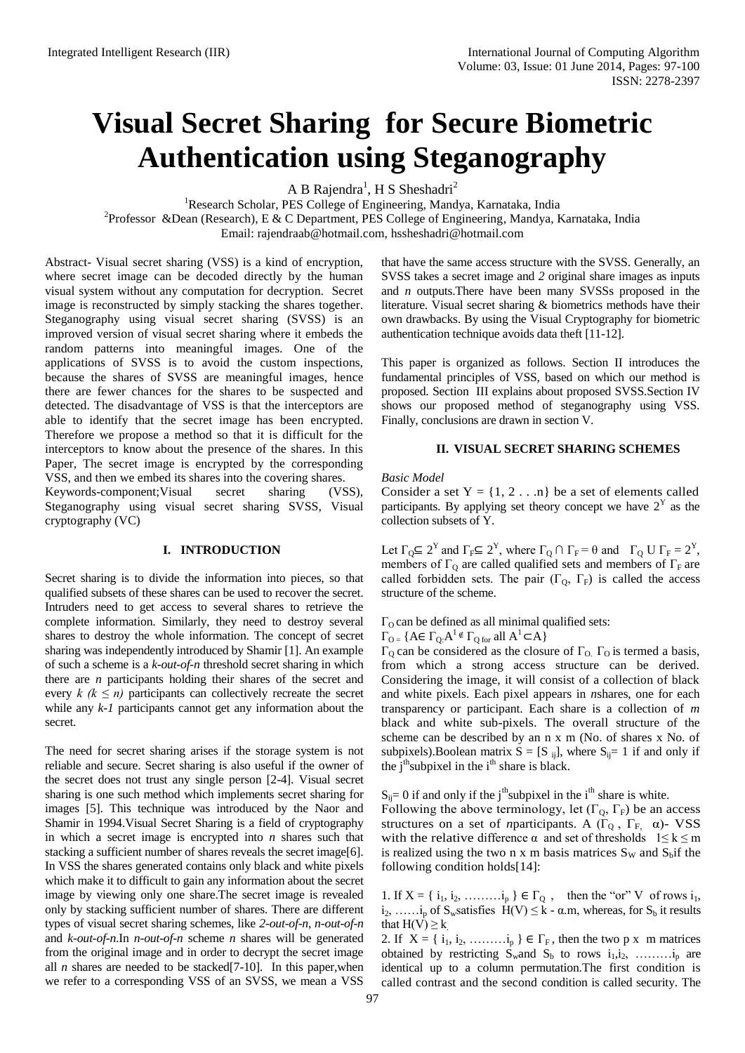# **Visual Secret Sharing for Secure Biometric Authentication using Steganography**

A B Rajendra<sup>1</sup>, H S Sheshadri<sup>2</sup>

<sup>1</sup>Research Scholar, PES College of Engineering, Mandya, Karnataka, India

<sup>2</sup> Professor & Dean (Research), E & C Department, PES College of Engineering, Mandya, Karnataka, India

Email: [rajendraab@hotmail.com,](mailto:rajendraab@hotmail.com) [hssheshadri@hotmail.com](mailto:hssheshadri@hotmail.com)

Abstract- Visual secret sharing (VSS) is a kind of encryption, where secret image can be decoded directly by the human visual system without any computation for decryption. Secret image is reconstructed by simply stacking the shares together. Steganography using visual secret sharing (SVSS) is an improved version of visual secret sharing where it embeds the random patterns into meaningful images. One of the applications of SVSS is to avoid the custom inspections, because the shares of SVSS are meaningful images, hence there are fewer chances for the shares to be suspected and detected. The disadvantage of VSS is that the interceptors are able to identify that the secret image has been encrypted. Therefore we propose a method so that it is difficult for the interceptors to know about the presence of the shares. In this Paper, The secret image is encrypted by the corresponding VSS, and then we embed its shares into the covering shares.

Keywords-component;Visual secret sharing (VSS), Steganography using visual secret sharing SVSS, Visual cryptography (VC)

#### **I. INTRODUCTION**

Secret sharing is to divide the information into pieces, so that qualified subsets of these shares can be used to recover the secret. Intruders need to get access to several shares to retrieve the complete information. Similarly, they need to destroy several shares to destroy the whole information. The concept of secret sharing was independently introduced by Shamir [1]. An example of such a scheme is a *k-out-of-n* threshold secret sharing in which there are *n* participants holding their shares of the secret and every  $k \ (k \leq n)$  participants can collectively recreate the secret while any  $k-1$  participants cannot get any information about the secret.

The need for secret sharing arises if the storage system is not reliable and secure. Secret sharing is also useful if the owner of the secret does not trust any single person [2-4]. Visual secret sharing is one such method which implements secret sharing for images [5]. This technique was introduced by the Naor and Shamir in 1994.Visual Secret Sharing is a field of cryptography in which a secret image is encrypted into *n* shares such that stacking a sufficient number of shares reveals the secret image[6]. In VSS the shares generated contains only black and white pixels which make it to difficult to gain any information about the secret image by viewing only one share.The secret image is revealed only by stacking sufficient number of shares. There are different types of visual secret sharing schemes, like *2-out-of-n*, *n-out-of-n* and *k-out-of-n*.In *n-out-of-n* scheme *n* shares will be generated from the original image and in order to decrypt the secret image all  $n$  shares are needed to be stacked [7-10]. In this paper, when we refer to a corresponding VSS of an SVSS, we mean a VSS

that have the same access structure with the SVSS. Generally, an SVSS takes a secret image and *2* original share images as inputs and *n* outputs.There have been many SVSSs proposed in the literature. Visual secret sharing & biometrics methods have their own drawbacks. By using the Visual Cryptography for biometric authentication technique avoids data theft [11-12].

This paper is organized as follows. Section II introduces the fundamental principles of VSS, based on which our method is proposed. Section III explains about proposed SVSS.Section IV shows our proposed method of steganography using VSS. Finally, conclusions are drawn in section V.

#### **II. VISUAL SECRET SHARING SCHEMES**

*Basic Model*

Consider a set  $Y = \{1, 2 \dots n\}$  be a set of elements called participants. By applying set theory concept we have  $2<sup>Y</sup>$  as the collection subsets of Y.

Let  $\Gamma_{\mathbb{Q}} \subseteq 2^{\mathbb{Y}}$  and  $\Gamma_{\mathbb{F}} \subseteq 2^{\mathbb{Y}}$ , where  $\Gamma_{\mathbb{Q}} \cap \Gamma_{\mathbb{F}} = \theta$  and  $\Gamma_{\mathbb{Q}} \cup \Gamma_{\mathbb{F}} = 2^{\mathbb{Y}}$ , members of  $\Gamma_0$  are called qualified sets and members of  $\Gamma_F$  are called forbidden sets. The pair  $(\Gamma_{Q}, \Gamma_{F})$  is called the access structure of the scheme.

 $\Gamma_0$  can be defined as all minimal qualified sets:

 $\Gamma_{\text{O} =} \{ A \in \Gamma_{\text{Q}} \cdot A^1 \notin \Gamma_{\text{Q for all }} A^1 \subset A \}$ 

Γ<sub>O</sub> can be considered as the closure of Γ<sub>O.</sub> Γ<sub>O</sub> is termed a basis, from which a strong access structure can be derived. Considering the image, it will consist of a collection of black and white pixels. Each pixel appears in *n*shares, one for each transparency or participant. Each share is a collection of *m* black and white sub-pixels. The overall structure of the scheme can be described by an n x m (No. of shares x No. of subpixels).Boolean matrix  $S = [S_{ij}]$ , where  $S_{ij} = 1$  if and only if the  $j<sup>th</sup>$ subpixel in the  $i<sup>th</sup>$  share is black.

 $S_{ij}= 0$  if and only if the j<sup>th</sup>subpixel in the i<sup>th</sup> share is white.

Following the above terminology, let  $(\Gamma_0, \Gamma_F)$  be an access structures on a set of *n*participants. A ( $\Gamma_0$ ,  $\Gamma_F$ ,  $\alpha$ )- VSS with the relative difference  $\alpha$  and set of thresholds  $1 \leq k \leq m$ is realized using the two n x m basis matrices  $S_W$  and  $S_b$  if the following condition holds[14]:

1. If  $X = \{i_1, i_2, \ldots, i_p\} \in \Gamma_0$ , then the "or" V of rows  $i_1$ ,  $i_2, \ldots, i_p$  of S<sub>w</sub>satisfies  $H(V) \le k - \alpha$  m, whereas, for S<sub>b</sub> it results that  $H(V) \geq k$ 

2. If  $X = \{i_1, i_2, \ldots, i_p\} \in \Gamma_F$ , then the two p x m matrices obtained by restricting  $S_w$  and  $S_b$  to rows  $i_1, i_2, \ldots, i_p$  are identical up to a column permutation.The first condition is called contrast and the second condition is called security. The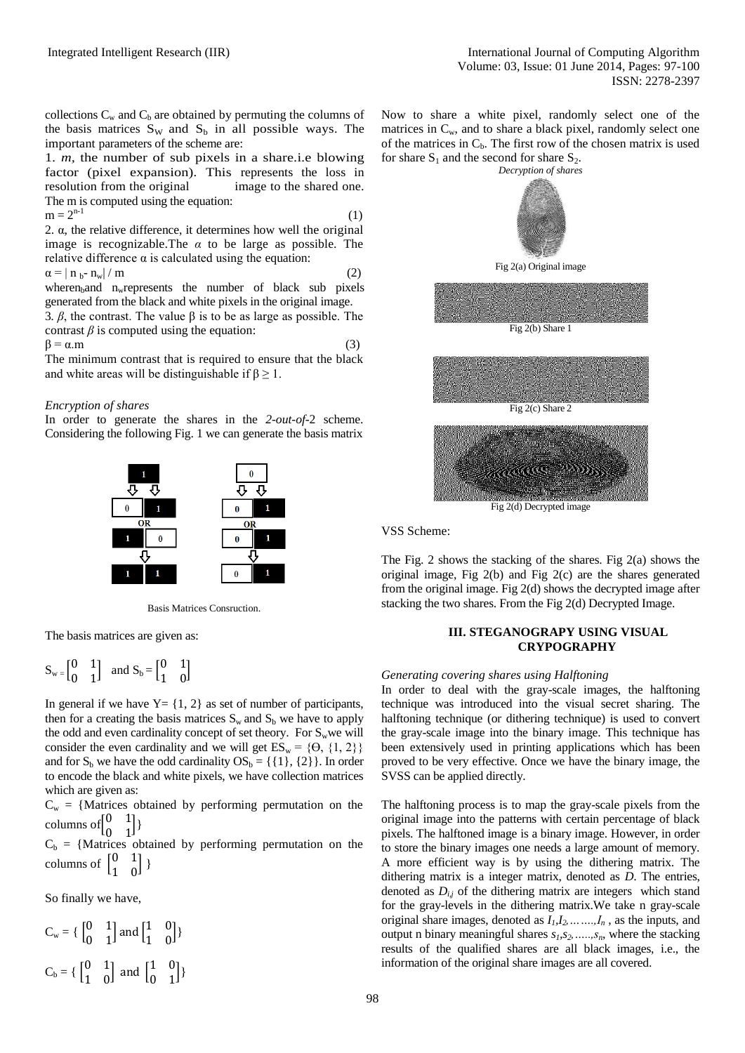collections  $C_w$  and  $C_b$  are obtained by permuting the columns of the basis matrices  $S_W$  and  $S_b$  in all possible ways. The important parameters of the scheme are:

1. *m,* the number of sub pixels in a share.i.e blowing factor (pixel expansion). This represents the loss in resolution from the original image to the shared one. The m is computed using the equation:

 $m = 2^{n-1}$  (1) 2. α, the relative difference, it determines how well the original image is recognizable.The *α* to be large as possible. The relative difference  $α$  is calculated using the equation:

$$
\alpha = |\mathbf{n}_{\mathbf{b}} \cdot \mathbf{n}_{\mathbf{w}}| / \mathbf{m} \tag{2}
$$

wheren<sub>b</sub>and n<sub>w</sub> represents the number of black sub pixels generated from the black and white pixels in the original image. 3*. β*, the contrast. The value β is to be as large as possible. The contrast  $\beta$  is computed using the equation:

 $\beta = \alpha \cdot m$  (3)

The minimum contrast that is required to ensure that the black and white areas will be distinguishable if  $\beta \geq 1$ .

## *Encryption of shares*

In order to generate the shares in the *2-out-of-*2 scheme. Considering the following Fig. 1 we can generate the basis matrix



Basis Matrices Consruction.

The basis matrices are given as:

$$
S_w=\begin{bmatrix}0&1\\0&1\end{bmatrix}\ \text{ and } S_b=\begin{bmatrix}0&1\\1&0\end{bmatrix}
$$

In general if we have  $Y = \{1, 2\}$  as set of number of participants, then for a creating the basis matrices  $S_w$  and  $S_b$  we have to apply the odd and even cardinality concept of set theory. For  $S_w$  we will consider the even cardinality and we will get  $ES_w = \{ \Theta, \{1, 2\} \}$ and for  $S_b$  we have the odd cardinality  $OS_b = \{\{1\}, \{2\}\}\$ . In order to encode the black and white pixels, we have collection matrices which are given as:

 $C_w = \{Matrices obtained by performing permutation on the$ columns of  $\begin{bmatrix} 0 \\ 0 \end{bmatrix}$  $\begin{bmatrix} 0 & 1 \\ 0 & 1 \end{bmatrix}$ 

 $C_b = \{Matrices obtained by performing permutation on the$ columns of  $\begin{bmatrix} 0 \\ 1 \end{bmatrix}$  $\begin{bmatrix} 0 & 1 \\ 1 & 0 \end{bmatrix}$ 

So finally we have,

$$
C_w = \left\{ \begin{bmatrix} 0 & 1 \\ 0 & 1 \end{bmatrix} \text{ and } \begin{bmatrix} 1 & 0 \\ 1 & 0 \end{bmatrix} \right\}
$$

$$
C_b = \left\{ \begin{bmatrix} 0 & 1 \\ 1 & 0 \end{bmatrix} \text{ and } \begin{bmatrix} 1 & 0 \\ 0 & 1 \end{bmatrix} \right\}
$$

Now to share a white pixel, randomly select one of the matrices in  $C_w$ , and to share a black pixel, randomly select one of the matrices in  $C_b$ . The first row of the chosen matrix is used for share  $S_1$  and the second for share  $S_2$ .



VSS Scheme:

The Fig. 2 shows the stacking of the shares. Fig 2(a) shows the original image, Fig 2(b) and Fig 2(c) are the shares generated from the original image. Fig 2(d) shows the decrypted image after stacking the two shares. From the Fig 2(d) Decrypted Image.

## **III. STEGANOGRAPY USING VISUAL CRYPOGRAPHY**

## *Generating covering shares using Halftoning*

In order to deal with the gray-scale images, the halftoning technique was introduced into the visual secret sharing. The halftoning technique (or dithering technique) is used to convert the gray-scale image into the binary image. This technique has been extensively used in printing applications which has been proved to be very effective. Once we have the binary image, the SVSS can be applied directly.

The halftoning process is to map the gray-scale pixels from the original image into the patterns with certain percentage of black pixels. The halftoned image is a binary image. However, in order to store the binary images one needs a large amount of memory. A more efficient way is by using the dithering matrix. The dithering matrix is a integer matrix, denoted as *D*. The entries, denoted as  $D_{i,j}$  of the dithering matrix are integers which stand for the gray-levels in the dithering matrix.We take n gray-scale original share images, denoted as  $I_1, I_2, \ldots, I_n$ , as the inputs, and output n binary meaningful shares  $s_1, s_2, \ldots, s_n$ , where the stacking results of the qualified shares are all black images, i.e., the information of the original share images are all covered.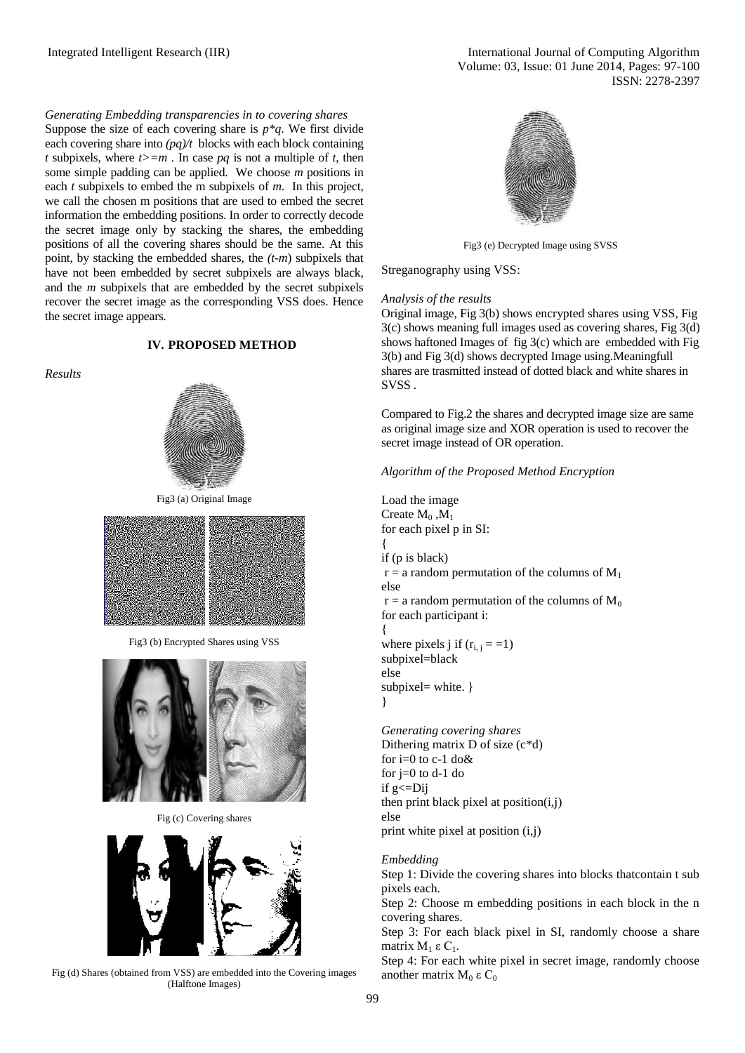## *Generating Embedding transparencies in to covering shares*

Suppose the size of each covering share is  $p * q$ . We first divide each covering share into  $\frac{pq}{t}$  blocks with each block containing *t* subpixels, where  $t \geq m$ . In case  $pq$  is not a multiple of *t*, then some simple padding can be applied. We choose *m* positions in each *t* subpixels to embed the m subpixels of *m*. In this project, we call the chosen m positions that are used to embed the secret information the embedding positions. In order to correctly decode the secret image only by stacking the shares, the embedding positions of all the covering shares should be the same. At this point, by stacking the embedded shares, the *(t-m*) subpixels that have not been embedded by secret subpixels are always black, and the *m* subpixels that are embedded by the secret subpixels recover the secret image as the corresponding VSS does. Hence the secret image appears.

## *Results*

# **IV. PROPOSED METHOD**



Fig3 (a) Original Image



Fig3 (b) Encrypted Shares using VSS



Fig (c) Covering shares



Fig (d) Shares (obtained from VSS) are embedded into the Covering images (Halftone Images)



Fig3 (e) Decrypted Image using SVSS

Streganography using VSS:

## *Analysis of the results*

Original image, Fig 3(b) shows encrypted shares using VSS, Fig 3(c) shows meaning full images used as covering shares, Fig 3(d) shows haftoned Images of fig 3(c) which are embedded with Fig 3(b) and Fig 3(d) shows decrypted Image using.Meaningfull shares are trasmitted instead of dotted black and white shares in SVSS.

Compared to Fig.2 the shares and decrypted image size are same as original image size and XOR operation is used to recover the secret image instead of OR operation.

*Algorithm of the Proposed Method Encryption*

Load the image Create  $M_0$ ,  $M_1$ for each pixel p in SI: {

if (p is black)

 $r = a$  random permutation of the columns of  $M_1$ else

 $r = a$  random permutation of the columns of  $M_0$ for each participant i:

{ where pixels j if  $(r_{i,j} = -1)$ subpixel=black else subpixel= white. } }

*Generating covering shares* Dithering matrix D of size (c\*d) for  $i=0$  to c-1 do & for  $j=0$  to  $d-1$  do if  $g \leq Dij$ then print black pixel at position $(i,j)$ else print white pixel at position (i,j)

# *Embedding*

Step 1: Divide the covering shares into blocks thatcontain t sub pixels each.

Step 2: Choose m embedding positions in each block in the n covering shares.

Step 3: For each black pixel in SI, randomly choose a share matrix  $M_1$  ε C<sub>1</sub>.

Step 4: For each white pixel in secret image, randomly choose another matrix  $M_0$  ε C<sub>0</sub>